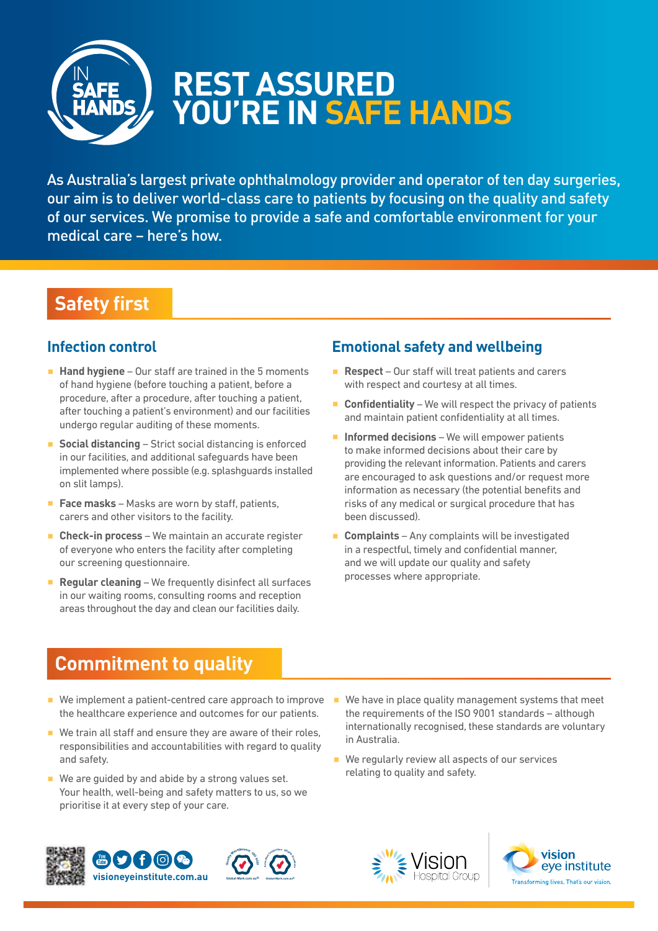

# **REST ASSURED YOU'RE IN SAFE HANDS**

As Australia's largest private ophthalmology provider and operator of ten day surgeries, our aim is to deliver world-class care to patients by focusing on the quality and safety of our services. We promise to provide a safe and comfortable environment for your medical care – here's how.

## **Safety first**

#### **Infection control**

- **Hand hygiene** Our staff are trained in the 5 moments of hand hygiene (before touching a patient, before a procedure, after a procedure, after touching a patient, after touching a patient's environment) and our facilities undergo regular auditing of these moments.
- **Social distancing** Strict social distancing is enforced in our facilities, and additional safeguards have been implemented where possible (e.g. splashguards installed on slit lamps).
- **Face masks** Masks are worn by staff, patients, carers and other visitors to the facility.
- **Check-in process** We maintain an accurate register of everyone who enters the facility after completing our screening questionnaire.
- **Regular cleaning** We frequently disinfect all surfaces in our waiting rooms, consulting rooms and reception areas throughout the day and clean our facilities daily.

### **Emotional safety and wellbeing**

- **Respect** Our staff will treat patients and carers with respect and courtesy at all times.
- **Confidentiality** We will respect the privacy of patients and maintain patient confidentiality at all times.
- **Informed decisions** We will empower patients to make informed decisions about their care by providing the relevant information. Patients and carers are encouraged to ask questions and/or request more information as necessary (the potential benefits and risks of any medical or surgical procedure that has been discussed).
- **Complaints** Any complaints will be investigated in a respectful, timely and confidential manner, and we will update our quality and safety processes where appropriate.

## **Commitment to quality**

- We implement a patient-centred care approach to improve the healthcare experience and outcomes for our patients.
- We train all staff and ensure they are aware of their roles, responsibilities and accountabilities with regard to quality and safety.
- $\blacksquare$  We are guided by and abide by a strong values set. Your health, well-being and safety matters to us, so we prioritise it at every step of your care.
- We have in place quality management systems that meet the requirements of the ISO 9001 standards – although internationally recognised, these standards are voluntary in Australia.
- We regularly review all aspects of our services relating to quality and safety.